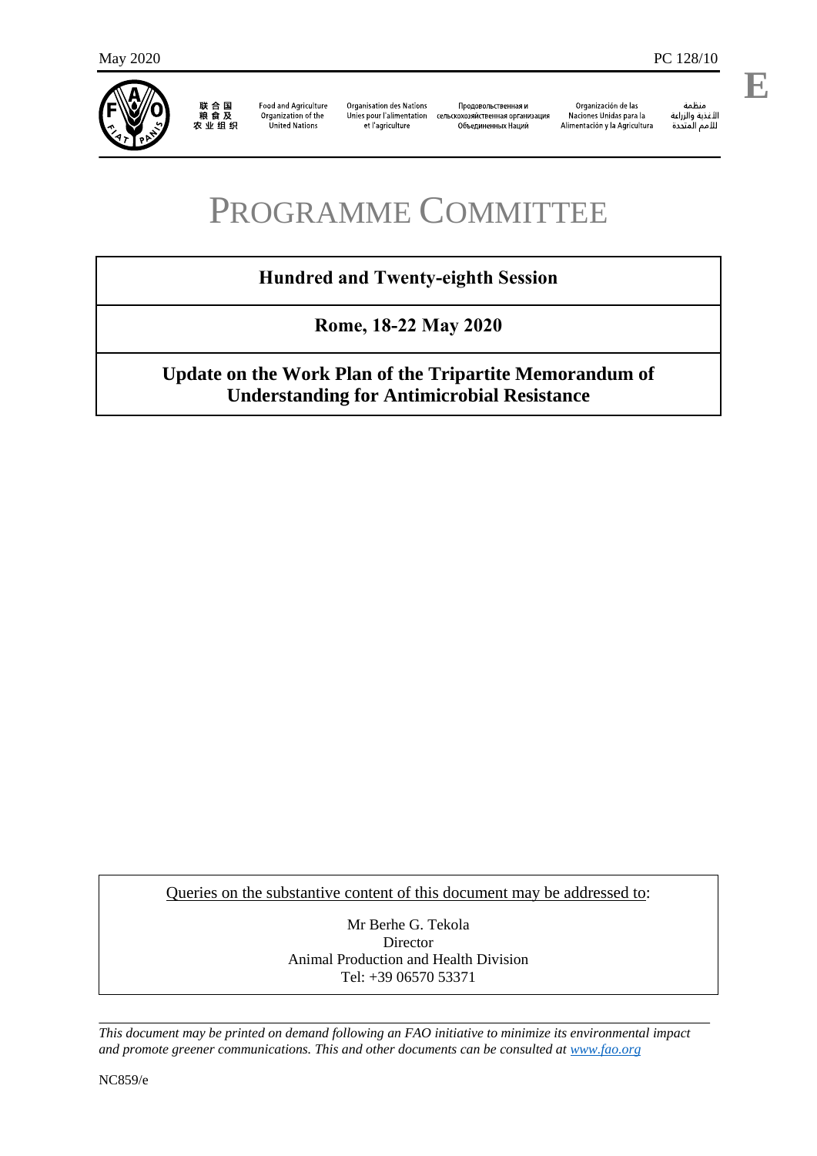

联合国<br>粮食及<br>农业组织

**Food and Agriculture** Organization of the United Nations

**Organisation des Nations** Unies pour l'alimentation et l'agriculture

Проловольственная и родовольственная ги<br>кохозяйственная организация Объединенных Наций

Organización de las Naciones Unidas para la Alimentación y la Agricultura

änhin مسمه<br>الأغذية والزراعة<br>للأمم المتحدة **E**

l,

# PROGRAMME COMMITTEE

# **Hundred and Twenty-eighth Session**

**Rome, 18-22 May 2020**

# **Update on the Work Plan of the Tripartite Memorandum of Understanding for Antimicrobial Resistance**

Queries on the substantive content of this document may be addressed to:

Mr Berhe G. Tekola Director Animal Production and Health Division Tel: +39 06570 53371

*This document may be printed on demand following an FAO initiative to minimize its environmental impact and promote greener communications. This and other documents can be consulted a[t www.fao.org](http://www.fao.org/)*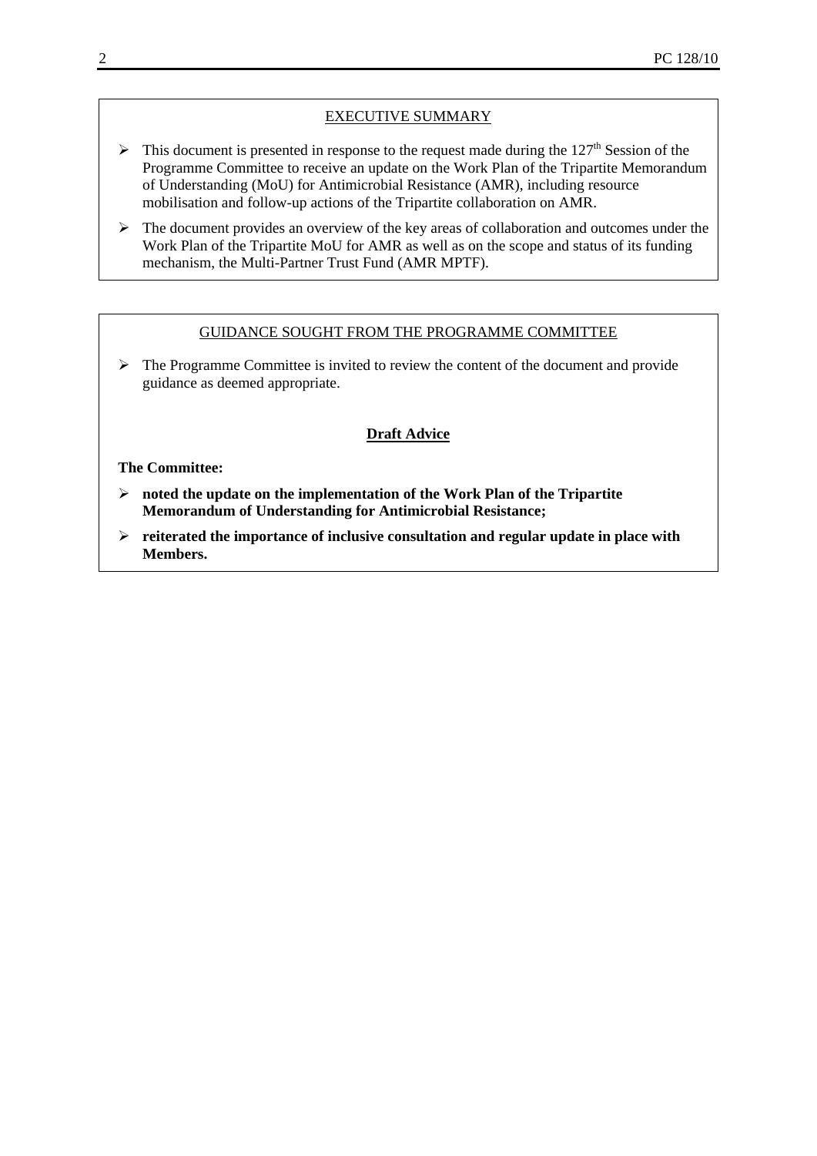## EXECUTIVE SUMMARY

- $\triangleright$  This document is presented in response to the request made during the 127<sup>th</sup> Session of the Programme Committee to receive an update on the Work Plan of the Tripartite Memorandum of Understanding (MoU) for Antimicrobial Resistance (AMR), including resource mobilisation and follow-up actions of the Tripartite collaboration on AMR.
- $\triangleright$  The document provides an overview of the key areas of collaboration and outcomes under the Work Plan of the Tripartite MoU for AMR as well as on the scope and status of its funding mechanism, the Multi-Partner Trust Fund (AMR MPTF).

#### GUIDANCE SOUGHT FROM THE PROGRAMME COMMITTEE

 $\triangleright$  The Programme Committee is invited to review the content of the document and provide guidance as deemed appropriate.

#### **Draft Advice**

#### **The Committee:**

- **noted the update on the implementation of the Work Plan of the Tripartite Memorandum of Understanding for Antimicrobial Resistance;**
- **reiterated the importance of inclusive consultation and regular update in place with Members.**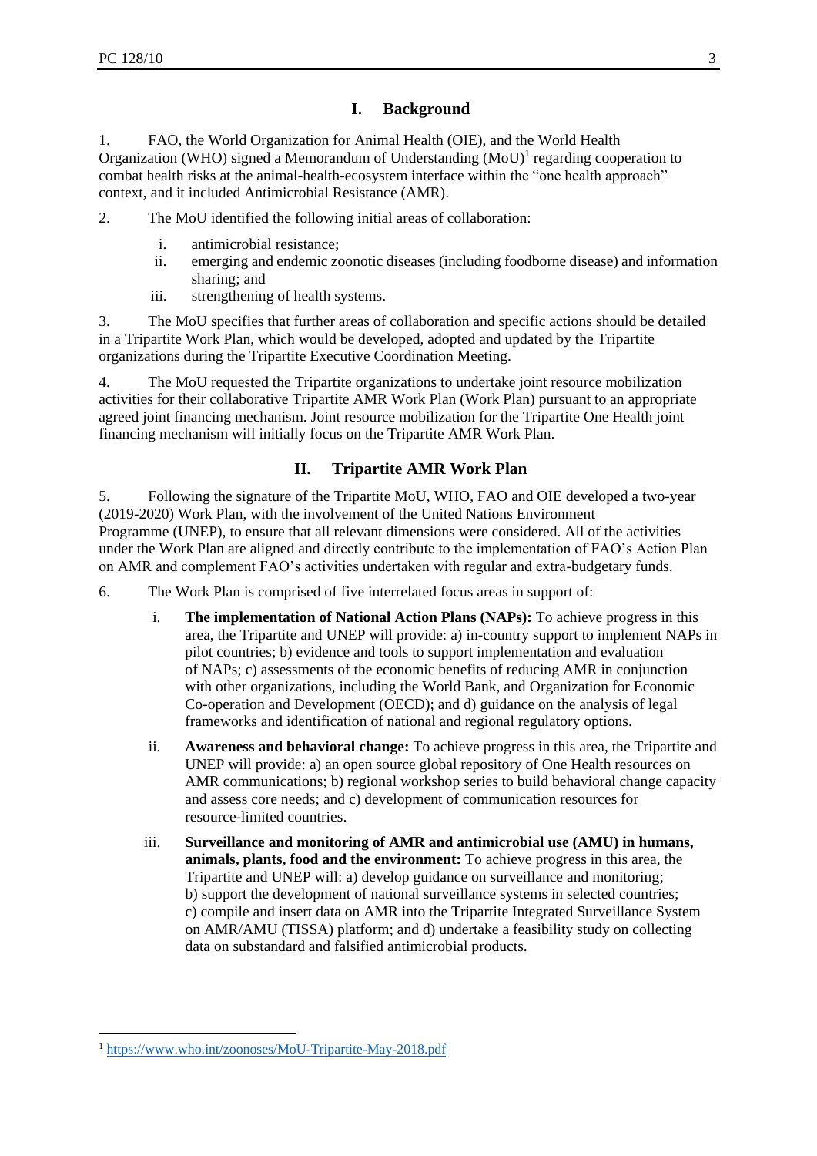# **I. Background**

1. FAO, the World Organization for Animal Health (OIE), and the World Health Organization (WHO) signed a Memorandum of Understanding  $(MoU)^{1}$  regarding cooperation to combat health risks at the animal-health-ecosystem interface within the "one health approach" context, and it included Antimicrobial Resistance (AMR).

2. The MoU identified the following initial areas of collaboration:

- i. antimicrobial resistance;
- ii. emerging and endemic zoonotic diseases (including foodborne disease) and information sharing; and
- iii. strengthening of health systems.

3. The MoU specifies that further areas of collaboration and specific actions should be detailed in a Tripartite Work Plan, which would be developed, adopted and updated by the Tripartite organizations during the Tripartite Executive Coordination Meeting.

4. The MoU requested the Tripartite organizations to undertake joint resource mobilization activities for their collaborative Tripartite AMR Work Plan (Work Plan) pursuant to an appropriate agreed joint financing mechanism. Joint resource mobilization for the Tripartite One Health joint financing mechanism will initially focus on the Tripartite AMR Work Plan.

## **II. Tripartite AMR Work Plan**

5. Following the signature of the Tripartite MoU, WHO, FAO and OIE developed a two-year (2019-2020) Work Plan, with the involvement of the United Nations Environment Programme (UNEP), to ensure that all relevant dimensions were considered. All of the activities under the Work Plan are aligned and directly contribute to the implementation of FAO's Action Plan on AMR and complement FAO's activities undertaken with regular and extra-budgetary funds.

6. The Work Plan is comprised of five interrelated focus areas in support of:

- i. **The implementation of National Action Plans (NAPs):** To achieve progress in this area, the Tripartite and UNEP will provide: a) in-country support to implement NAPs in pilot countries; b) evidence and tools to support implementation and evaluation of NAPs; c) assessments of the economic benefits of reducing AMR in conjunction with other organizations, including the World Bank, and Organization for Economic Co-operation and Development (OECD); and d) guidance on the analysis of legal frameworks and identification of national and regional regulatory options.
- ii. **Awareness and behavioral change:** To achieve progress in this area, the Tripartite and UNEP will provide: a) an open source global repository of One Health resources on AMR communications; b) regional workshop series to build behavioral change capacity and assess core needs; and c) development of communication resources for resource-limited countries.
- iii. **Surveillance and monitoring of AMR and antimicrobial use (AMU) in humans, animals, plants, food and the environment:** To achieve progress in this area, the Tripartite and UNEP will: a) develop guidance on surveillance and monitoring; b) support the development of national surveillance systems in selected countries; c) compile and insert data on AMR into the Tripartite Integrated Surveillance System on AMR/AMU (TISSA) platform; and d) undertake a feasibility study on collecting data on substandard and falsified antimicrobial products.

**.** 

<sup>1</sup> <https://www.who.int/zoonoses/MoU-Tripartite-May-2018.pdf>